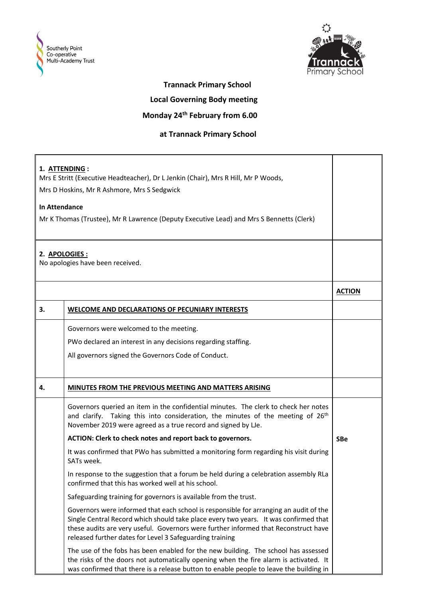



## **Trannack Primary School**

 **Local Governing Body meeting**

## **Monday 24th February from 6.00**

## **at Trannack Primary School**

| 1. ATTENDING :<br>Mrs E Stritt (Executive Headteacher), Dr L Jenkin (Chair), Mrs R Hill, Mr P Woods,<br>Mrs D Hoskins, Mr R Ashmore, Mrs S Sedgwick<br><b>In Attendance</b><br>Mr K Thomas (Trustee), Mr R Lawrence (Deputy Executive Lead) and Mrs S Bennetts (Clerk)<br>2. APOLOGIES : |                                                                                                                                                                                                                                                                                                                                  |               |
|------------------------------------------------------------------------------------------------------------------------------------------------------------------------------------------------------------------------------------------------------------------------------------------|----------------------------------------------------------------------------------------------------------------------------------------------------------------------------------------------------------------------------------------------------------------------------------------------------------------------------------|---------------|
|                                                                                                                                                                                                                                                                                          | No apologies have been received.                                                                                                                                                                                                                                                                                                 |               |
|                                                                                                                                                                                                                                                                                          |                                                                                                                                                                                                                                                                                                                                  | <b>ACTION</b> |
| 3.                                                                                                                                                                                                                                                                                       | WELCOME AND DECLARATIONS OF PECUNIARY INTERESTS                                                                                                                                                                                                                                                                                  |               |
|                                                                                                                                                                                                                                                                                          | Governors were welcomed to the meeting.<br>PWo declared an interest in any decisions regarding staffing.<br>All governors signed the Governors Code of Conduct.                                                                                                                                                                  |               |
| 4.                                                                                                                                                                                                                                                                                       | MINUTES FROM THE PREVIOUS MEETING AND MATTERS ARISING                                                                                                                                                                                                                                                                            |               |
|                                                                                                                                                                                                                                                                                          | Governors queried an item in the confidential minutes. The clerk to check her notes<br>and clarify. Taking this into consideration, the minutes of the meeting of 26 <sup>th</sup><br>November 2019 were agreed as a true record and signed by LJe.                                                                              |               |
|                                                                                                                                                                                                                                                                                          | ACTION: Clerk to check notes and report back to governors.                                                                                                                                                                                                                                                                       | <b>SBe</b>    |
|                                                                                                                                                                                                                                                                                          | It was confirmed that PWo has submitted a monitoring form regarding his visit during<br>SATs week.                                                                                                                                                                                                                               |               |
|                                                                                                                                                                                                                                                                                          | In response to the suggestion that a forum be held during a celebration assembly RLa<br>confirmed that this has worked well at his school.                                                                                                                                                                                       |               |
|                                                                                                                                                                                                                                                                                          | Safeguarding training for governors is available from the trust.                                                                                                                                                                                                                                                                 |               |
|                                                                                                                                                                                                                                                                                          | Governors were informed that each school is responsible for arranging an audit of the<br>Single Central Record which should take place every two years. It was confirmed that<br>these audits are very useful. Governors were further informed that Reconstruct have<br>released further dates for Level 3 Safeguarding training |               |
|                                                                                                                                                                                                                                                                                          | The use of the fobs has been enabled for the new building. The school has assessed<br>the risks of the doors not automatically opening when the fire alarm is activated. It<br>was confirmed that there is a release button to enable people to leave the building in                                                            |               |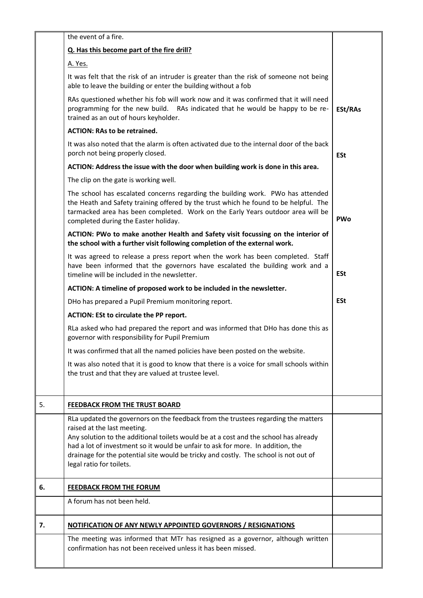|    | the event of a fire.                                                                                                                                                                                                                                                                                                                                                                                            |            |
|----|-----------------------------------------------------------------------------------------------------------------------------------------------------------------------------------------------------------------------------------------------------------------------------------------------------------------------------------------------------------------------------------------------------------------|------------|
|    | Q. Has this become part of the fire drill?                                                                                                                                                                                                                                                                                                                                                                      |            |
|    | A. Yes.                                                                                                                                                                                                                                                                                                                                                                                                         |            |
|    | It was felt that the risk of an intruder is greater than the risk of someone not being<br>able to leave the building or enter the building without a fob                                                                                                                                                                                                                                                        |            |
|    | RAs questioned whether his fob will work now and it was confirmed that it will need<br>programming for the new build. RAs indicated that he would be happy to be re-<br>trained as an out of hours keyholder.                                                                                                                                                                                                   | ESt/RAs    |
|    | <b>ACTION: RAs to be retrained.</b>                                                                                                                                                                                                                                                                                                                                                                             |            |
|    | It was also noted that the alarm is often activated due to the internal door of the back<br>porch not being properly closed.                                                                                                                                                                                                                                                                                    | <b>ESt</b> |
|    | ACTION: Address the issue with the door when building work is done in this area.                                                                                                                                                                                                                                                                                                                                |            |
|    | The clip on the gate is working well.                                                                                                                                                                                                                                                                                                                                                                           |            |
|    | The school has escalated concerns regarding the building work. PWo has attended<br>the Heath and Safety training offered by the trust which he found to be helpful. The<br>tarmacked area has been completed. Work on the Early Years outdoor area will be<br>completed during the Easter holiday.                                                                                                              | <b>PWo</b> |
|    | ACTION: PWo to make another Health and Safety visit focussing on the interior of<br>the school with a further visit following completion of the external work.                                                                                                                                                                                                                                                  |            |
|    | It was agreed to release a press report when the work has been completed. Staff<br>have been informed that the governors have escalated the building work and a<br>timeline will be included in the newsletter.                                                                                                                                                                                                 | <b>ESt</b> |
|    | ACTION: A timeline of proposed work to be included in the newsletter.                                                                                                                                                                                                                                                                                                                                           |            |
|    | DHo has prepared a Pupil Premium monitoring report.                                                                                                                                                                                                                                                                                                                                                             | <b>ESt</b> |
|    | ACTION: ESt to circulate the PP report.                                                                                                                                                                                                                                                                                                                                                                         |            |
|    | RLa asked who had prepared the report and was informed that DHo has done this as<br>governor with responsibility for Pupil Premium                                                                                                                                                                                                                                                                              |            |
|    | It was confirmed that all the named policies have been posted on the website.                                                                                                                                                                                                                                                                                                                                   |            |
|    | It was also noted that it is good to know that there is a voice for small schools within<br>the trust and that they are valued at trustee level.                                                                                                                                                                                                                                                                |            |
| 5. | FEEDBACK FROM THE TRUST BOARD                                                                                                                                                                                                                                                                                                                                                                                   |            |
|    | RLa updated the governors on the feedback from the trustees regarding the matters<br>raised at the last meeting.<br>Any solution to the additional toilets would be at a cost and the school has already<br>had a lot of investment so it would be unfair to ask for more. In addition, the<br>drainage for the potential site would be tricky and costly. The school is not out of<br>legal ratio for toilets. |            |
| 6. | <b>FEEDBACK FROM THE FORUM</b>                                                                                                                                                                                                                                                                                                                                                                                  |            |
|    | A forum has not been held.                                                                                                                                                                                                                                                                                                                                                                                      |            |
| 7. | <b>NOTIFICATION OF ANY NEWLY APPOINTED GOVERNORS / RESIGNATIONS</b>                                                                                                                                                                                                                                                                                                                                             |            |
|    | The meeting was informed that MTr has resigned as a governor, although written<br>confirmation has not been received unless it has been missed.                                                                                                                                                                                                                                                                 |            |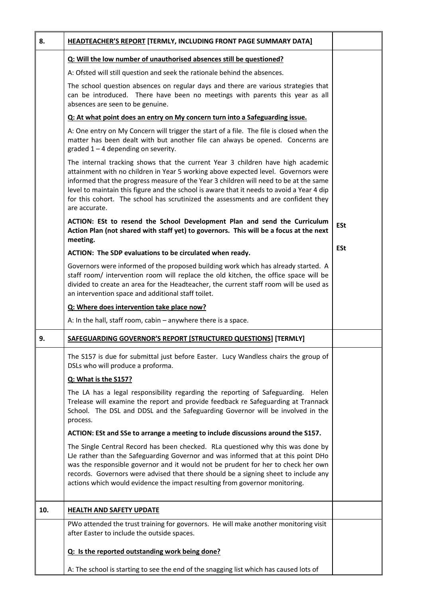| 8.  | <b>HEADTEACHER'S REPORT [TERMLY, INCLUDING FRONT PAGE SUMMARY DATA]</b>                                                                                                                                                                                                                                                                                                                                                                                            |            |
|-----|--------------------------------------------------------------------------------------------------------------------------------------------------------------------------------------------------------------------------------------------------------------------------------------------------------------------------------------------------------------------------------------------------------------------------------------------------------------------|------------|
|     | Q: Will the low number of unauthorised absences still be questioned?                                                                                                                                                                                                                                                                                                                                                                                               |            |
|     | A: Ofsted will still question and seek the rationale behind the absences.                                                                                                                                                                                                                                                                                                                                                                                          |            |
|     | The school question absences on regular days and there are various strategies that<br>can be introduced. There have been no meetings with parents this year as all<br>absences are seen to be genuine.                                                                                                                                                                                                                                                             |            |
|     | Q: At what point does an entry on My concern turn into a Safeguarding issue.                                                                                                                                                                                                                                                                                                                                                                                       |            |
|     | A: One entry on My Concern will trigger the start of a file. The file is closed when the<br>matter has been dealt with but another file can always be opened. Concerns are<br>graded $1 - 4$ depending on severity.                                                                                                                                                                                                                                                |            |
|     | The internal tracking shows that the current Year 3 children have high academic<br>attainment with no children in Year 5 working above expected level. Governors were<br>informed that the progress measure of the Year 3 children will need to be at the same<br>level to maintain this figure and the school is aware that it needs to avoid a Year 4 dip<br>for this cohort. The school has scrutinized the assessments and are confident they<br>are accurate. |            |
|     | ACTION: ESt to resend the School Development Plan and send the Curriculum<br>Action Plan (not shared with staff yet) to governors. This will be a focus at the next<br>meeting.                                                                                                                                                                                                                                                                                    | <b>ESt</b> |
|     | ACTION: The SDP evaluations to be circulated when ready.                                                                                                                                                                                                                                                                                                                                                                                                           | <b>ESt</b> |
|     | Governors were informed of the proposed building work which has already started. A<br>staff room/ intervention room will replace the old kitchen, the office space will be<br>divided to create an area for the Headteacher, the current staff room will be used as<br>an intervention space and additional staff toilet.                                                                                                                                          |            |
|     | Q: Where does intervention take place now?                                                                                                                                                                                                                                                                                                                                                                                                                         |            |
|     | A: In the hall, staff room, cabin $-$ anywhere there is a space.                                                                                                                                                                                                                                                                                                                                                                                                   |            |
| 9.  | SAFEGUARDING GOVERNOR'S REPORT [STRUCTURED QUESTIONS] [TERMLY]                                                                                                                                                                                                                                                                                                                                                                                                     |            |
|     | The S157 is due for submittal just before Easter. Lucy Wandless chairs the group of<br>DSLs who will produce a proforma.                                                                                                                                                                                                                                                                                                                                           |            |
|     | Q: What is the S157?                                                                                                                                                                                                                                                                                                                                                                                                                                               |            |
|     | The LA has a legal responsibility regarding the reporting of Safeguarding. Helen<br>Trelease will examine the report and provide feedback re Safeguarding at Trannack<br>School. The DSL and DDSL and the Safeguarding Governor will be involved in the<br>process.                                                                                                                                                                                                |            |
|     | ACTION: ESt and SSe to arrange a meeting to include discussions around the S157.                                                                                                                                                                                                                                                                                                                                                                                   |            |
|     | The Single Central Record has been checked. RLa questioned why this was done by<br>Le rather than the Safeguarding Governor and was informed that at this point DHo<br>was the responsible governor and it would not be prudent for her to check her own<br>records. Governors were advised that there should be a signing sheet to include any<br>actions which would evidence the impact resulting from governor monitoring.                                     |            |
| 10. | <b>HEALTH AND SAFETY UPDATE</b>                                                                                                                                                                                                                                                                                                                                                                                                                                    |            |
|     | PWo attended the trust training for governors. He will make another monitoring visit<br>after Easter to include the outside spaces.                                                                                                                                                                                                                                                                                                                                |            |
|     | Q: Is the reported outstanding work being done?                                                                                                                                                                                                                                                                                                                                                                                                                    |            |
|     | A: The school is starting to see the end of the snagging list which has caused lots of                                                                                                                                                                                                                                                                                                                                                                             |            |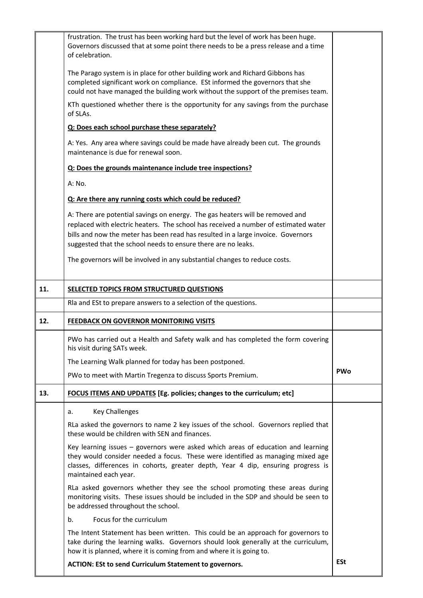|     | frustration. The trust has been working hard but the level of work has been huge.<br>Governors discussed that at some point there needs to be a press release and a time                                                                                                                                                  |            |
|-----|---------------------------------------------------------------------------------------------------------------------------------------------------------------------------------------------------------------------------------------------------------------------------------------------------------------------------|------------|
|     | of celebration.                                                                                                                                                                                                                                                                                                           |            |
|     | The Parago system is in place for other building work and Richard Gibbons has<br>completed significant work on compliance. ESt informed the governors that she<br>could not have managed the building work without the support of the premises team.                                                                      |            |
|     | KTh questioned whether there is the opportunity for any savings from the purchase<br>of SLAs.                                                                                                                                                                                                                             |            |
|     | Q: Does each school purchase these separately?                                                                                                                                                                                                                                                                            |            |
|     | A: Yes. Any area where savings could be made have already been cut. The grounds<br>maintenance is due for renewal soon.                                                                                                                                                                                                   |            |
|     | Q: Does the grounds maintenance include tree inspections?                                                                                                                                                                                                                                                                 |            |
|     | A: No.                                                                                                                                                                                                                                                                                                                    |            |
|     | Q: Are there any running costs which could be reduced?                                                                                                                                                                                                                                                                    |            |
|     | A: There are potential savings on energy. The gas heaters will be removed and<br>replaced with electric heaters. The school has received a number of estimated water<br>bills and now the meter has been read has resulted in a large invoice. Governors<br>suggested that the school needs to ensure there are no leaks. |            |
|     | The governors will be involved in any substantial changes to reduce costs.                                                                                                                                                                                                                                                |            |
| 11. | SELECTED TOPICS FROM STRUCTURED QUESTIONS                                                                                                                                                                                                                                                                                 |            |
|     | Rla and ESt to prepare answers to a selection of the questions.                                                                                                                                                                                                                                                           |            |
| 12. | FEEDBACK ON GOVERNOR MONITORING VISITS                                                                                                                                                                                                                                                                                    |            |
|     | PWo has carried out a Health and Safety walk and has completed the form covering<br>his visit during SATs week.                                                                                                                                                                                                           |            |
|     | The Learning Walk planned for today has been postponed.                                                                                                                                                                                                                                                                   |            |
|     | PWo to meet with Martin Tregenza to discuss Sports Premium.                                                                                                                                                                                                                                                               | <b>PWo</b> |
| 13. | FOCUS ITEMS AND UPDATES [Eg. policies; changes to the curriculum; etc]                                                                                                                                                                                                                                                    |            |
|     | <b>Key Challenges</b><br>а.                                                                                                                                                                                                                                                                                               |            |
|     | RLa asked the governors to name 2 key issues of the school. Governors replied that<br>these would be children with SEN and finances.                                                                                                                                                                                      |            |
|     | Key learning issues - governors were asked which areas of education and learning<br>they would consider needed a focus. These were identified as managing mixed age<br>classes, differences in cohorts, greater depth, Year 4 dip, ensuring progress is<br>maintained each year.                                          |            |
|     | RLa asked governors whether they see the school promoting these areas during<br>monitoring visits. These issues should be included in the SDP and should be seen to<br>be addressed throughout the school.                                                                                                                |            |
|     | Focus for the curriculum<br>b.                                                                                                                                                                                                                                                                                            |            |
|     | The Intent Statement has been written. This could be an approach for governors to<br>take during the learning walks. Governors should look generally at the curriculum,<br>how it is planned, where it is coming from and where it is going to.                                                                           |            |
|     | <b>ACTION: ESt to send Curriculum Statement to governors.</b>                                                                                                                                                                                                                                                             | <b>ESt</b> |